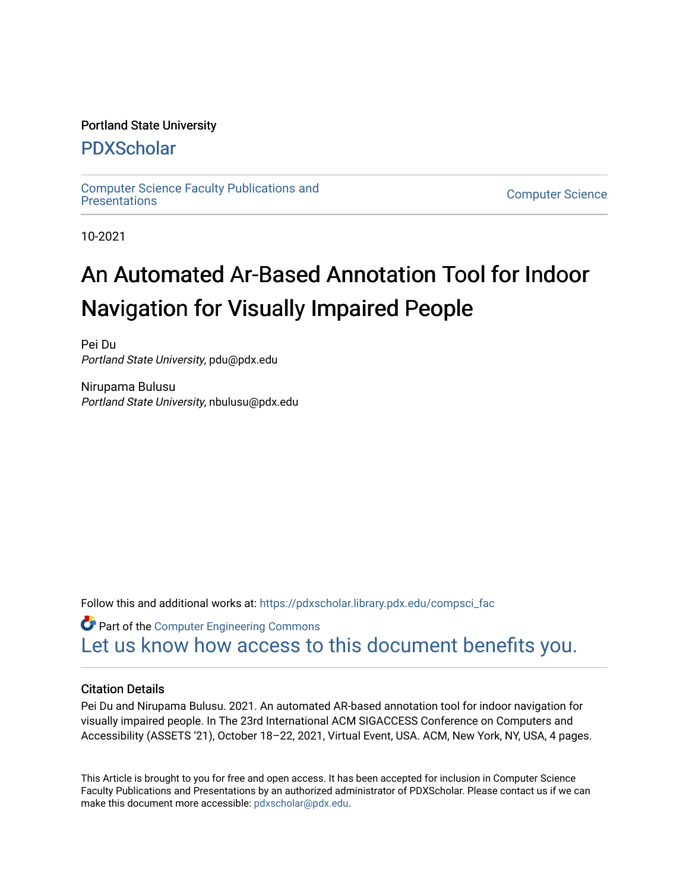# Portland State University

# [PDXScholar](https://pdxscholar.library.pdx.edu/)

[Computer Science Faculty Publications and](https://pdxscholar.library.pdx.edu/compsci_fac) 

**Computer Science** 

10-2021

# An Automated Ar-Based Annotation Tool for Indoor Navigation for Visually Impaired People

Pei Du Portland State University, pdu@pdx.edu

Nirupama Bulusu Portland State University, nbulusu@pdx.edu

Follow this and additional works at: [https://pdxscholar.library.pdx.edu/compsci\\_fac](https://pdxscholar.library.pdx.edu/compsci_fac?utm_source=pdxscholar.library.pdx.edu%2Fcompsci_fac%2F290&utm_medium=PDF&utm_campaign=PDFCoverPages) 

**C** Part of the Computer Engineering Commons [Let us know how access to this document benefits you.](http://library.pdx.edu/services/pdxscholar-services/pdxscholar-feedback/?ref=https://pdxscholar.library.pdx.edu/compsci_fac/290) 

# Citation Details

Pei Du and Nirupama Bulusu. 2021. An automated AR-based annotation tool for indoor navigation for visually impaired people. In The 23rd International ACM SIGACCESS Conference on Computers and Accessibility (ASSETS '21), October 18–22, 2021, Virtual Event, USA. ACM, New York, NY, USA, 4 pages.

This Article is brought to you for free and open access. It has been accepted for inclusion in Computer Science Faculty Publications and Presentations by an authorized administrator of PDXScholar. Please contact us if we can make this document more accessible: [pdxscholar@pdx.edu.](mailto:pdxscholar@pdx.edu)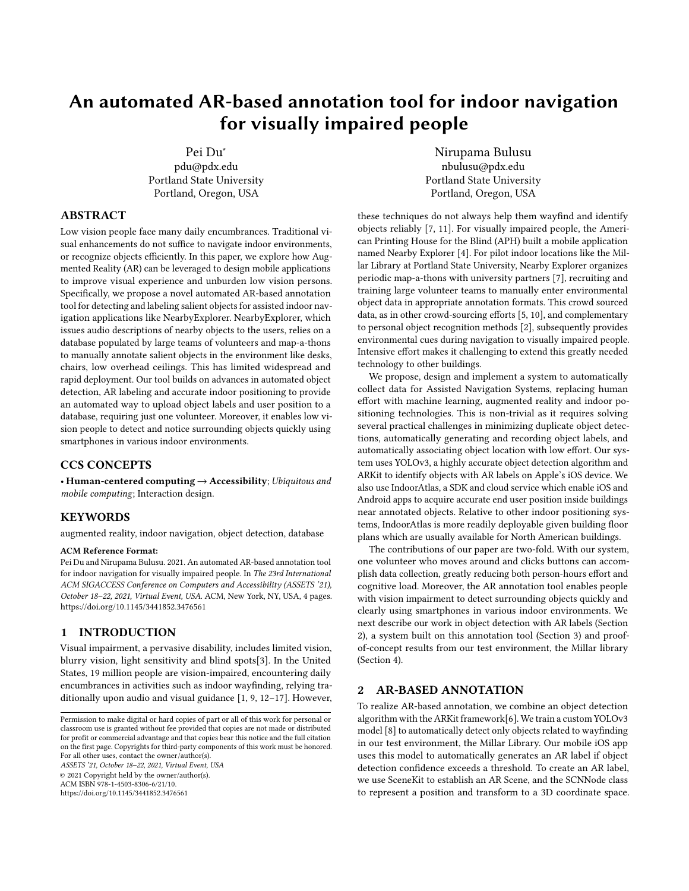# An automated AR-based annotation tool for indoor navigation for visually impaired people

Pei [Du∗](https://orcid.org/0003-0743-3194) [pdu@pdx.edu](mailto:pdu@pdx.edu) Portland State University Portland, Oregon, USA

## ABSTRACT

Low vision people face many daily encumbrances. Traditional visual enhancements do not suffice to navigate indoor environments, or recognize objects efficiently. In this paper, we explore how Augmented Reality (AR) can be leveraged to design mobile applications to improve visual experience and unburden low vision persons. Specifically, we propose a novel automated AR-based annotation tool for detecting and labeling salient objects for assisted indoor navigation applications like NearbyExplorer. NearbyExplorer, which issues audio descriptions of nearby objects to the users, relies on a database populated by large teams of volunteers and map-a-thons to manually annotate salient objects in the environment like desks, chairs, low overhead ceilings. This has limited widespread and rapid deployment. Our tool builds on advances in automated object detection, AR labeling and accurate indoor positioning to provide an automated way to upload object labels and user position to a database, requiring just one volunteer. Moreover, it enables low vision people to detect and notice surrounding objects quickly using smartphones in various indoor environments.

## CCS CONCEPTS

• Human-centered computing  $\rightarrow$  Accessibility; Ubiquitous and mobile computing; Interaction design.

#### KEYWORDS

augmented reality, indoor navigation, object detection, database

#### ACM Reference Format:

Pei Du and Nirupama Bulusu. 2021. An automated AR-based annotation tool for indoor navigation for visually impaired people. In The 23rd International ACM SIGACCESS Conference on Computers and Accessibility (ASSETS '21), October 18–22, 2021, Virtual Event, USA. ACM, New York, NY, USA, 4 pages. <https://doi.org/10.1145/3441852.3476561>

#### 1 INTRODUCTION

Visual impairment, a pervasive disability, includes limited vision, blurry vision, light sensitivity and blind spots[\[3\]](#page-4-0). In the United States, 19 million people are vision-impaired, encountering daily encumbrances in activities such as indoor wayfinding, relying traditionally upon audio and visual guidance [\[1,](#page-3-0) [9,](#page-4-1) [12](#page-4-2)[–17\]](#page-4-3). However,

ASSETS '21, October 18–22, 2021, Virtual Event, USA © 2021 Copyright held by the owner/author(s).

ACM ISBN 978-1-4503-8306-6/21/10.

<https://doi.org/10.1145/3441852.3476561>

[Nirupama](https://orcid.org/0003-4351-1217) Bulusu [nbulusu@pdx.edu](mailto:nbulusu@pdx.edu) Portland State University Portland, Oregon, USA

these techniques do not always help them wayfind and identify objects reliably [\[7,](#page-4-4) [11\]](#page-4-5). For visually impaired people, the American Printing House for the Blind (APH) built a mobile application named Nearby Explorer [\[4\]](#page-4-6). For pilot indoor locations like the Millar Library at Portland State University, Nearby Explorer organizes periodic map-a-thons with university partners [\[7\]](#page-4-4), recruiting and training large volunteer teams to manually enter environmental object data in appropriate annotation formats. This crowd sourced data, as in other crowd-sourcing efforts [\[5,](#page-4-7) [10\]](#page-4-8), and complementary to personal object recognition methods [\[2\]](#page-4-9), subsequently provides environmental cues during navigation to visually impaired people. Intensive effort makes it challenging to extend this greatly needed technology to other buildings.

We propose, design and implement a system to automatically collect data for Assisted Navigation Systems, replacing human effort with machine learning, augmented reality and indoor positioning technologies. This is non-trivial as it requires solving several practical challenges in minimizing duplicate object detections, automatically generating and recording object labels, and automatically associating object location with low effort. Our system uses YOLOv3, a highly accurate object detection algorithm and ARKit to identify objects with AR labels on Apple's iOS device. We also use IndoorAtlas, a SDK and cloud service which enable iOS and Android apps to acquire accurate end user position inside buildings near annotated objects. Relative to other indoor positioning systems, IndoorAtlas is more readily deployable given building floor plans which are usually available for North American buildings.

The contributions of our paper are two-fold. With our system, one volunteer who moves around and clicks buttons can accomplish data collection, greatly reducing both person-hours effort and cognitive load. Moreover, the AR annotation tool enables people with vision impairment to detect surrounding objects quickly and clearly using smartphones in various indoor environments. We next describe our work in object detection with AR labels (Section 2), a system built on this annotation tool (Section 3) and proofof-concept results from our test environment, the Millar library (Section 4).

### 2 AR-BASED ANNOTATION

To realize AR-based annotation, we combine an object detection algorithm with the ARKit framework[\[6\]](#page-4-10). We train a custom YOLOv3 model [\[8\]](#page-4-11) to automatically detect only objects related to wayfinding in our test environment, the Millar Library. Our mobile iOS app uses this model to automatically generates an AR label if object detection confidence exceeds a threshold. To create an AR label, we use SceneKit to establish an AR Scene, and the SCNNode class to represent a position and transform to a 3D coordinate space.

Permission to make digital or hard copies of part or all of this work for personal or classroom use is granted without fee provided that copies are not made or distributed for profit or commercial advantage and that copies bear this notice and the full citation on the first page. Copyrights for third-party components of this work must be honored. For all other uses, contact the owner/author(s).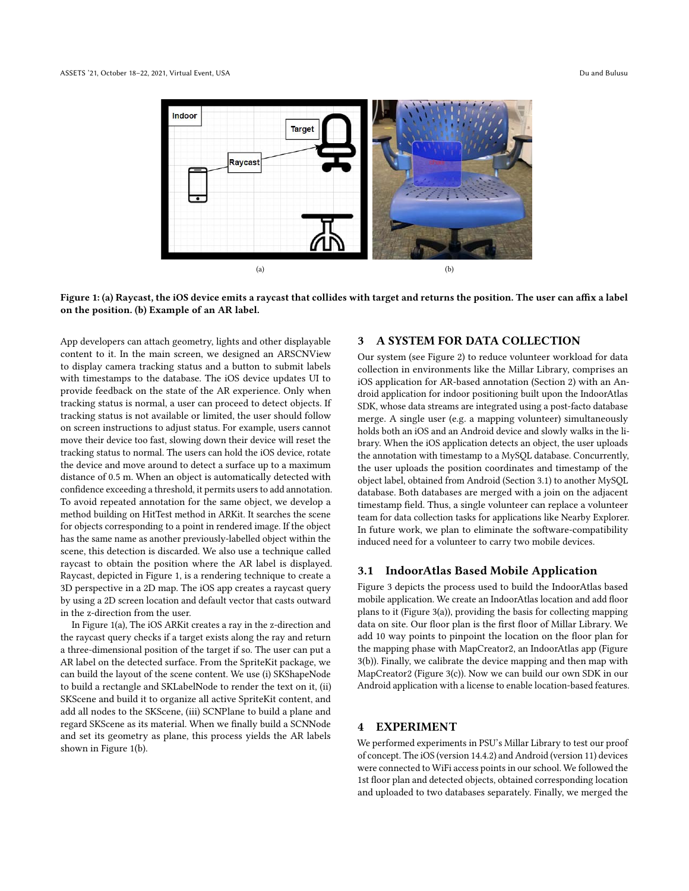<span id="page-2-0"></span>

Figure 1: (a) Raycast, the iOS device emits a raycast that collides with target and returns the position. The user can affix a label on the position. (b) Example of an AR label.

App developers can attach geometry, lights and other displayable content to it. In the main screen, we designed an ARSCNView to display camera tracking status and a button to submit labels with timestamps to the database. The iOS device updates UI to provide feedback on the state of the AR experience. Only when tracking status is normal, a user can proceed to detect objects. If tracking status is not available or limited, the user should follow on screen instructions to adjust status. For example, users cannot move their device too fast, slowing down their device will reset the tracking status to normal. The users can hold the iOS device, rotate the device and move around to detect a surface up to a maximum distance of 0.5 m. When an object is automatically detected with confidence exceeding a threshold, it permits users to add annotation. To avoid repeated annotation for the same object, we develop a method building on HitTest method in ARKit. It searches the scene for objects corresponding to a point in rendered image. If the object has the same name as another previously-labelled object within the scene, this detection is discarded. We also use a technique called raycast to obtain the position where the AR label is displayed. Raycast, depicted in Figure 1, is a rendering technique to create a 3D perspective in a 2D map. The iOS app creates a raycast query by using a 2D screen location and default vector that casts outward in the z-direction from the user.

In Figure 1(a), The iOS ARKit creates a ray in the z-direction and the raycast query checks if a target exists along the ray and return a three-dimensional position of the target if so. The user can put a AR label on the detected surface. From the SpriteKit package, we can build the layout of the scene content. We use (i) SKShapeNode to build a rectangle and SKLabelNode to render the text on it, (ii) SKScene and build it to organize all active SpriteKit content, and add all nodes to the SKScene, (iii) SCNPlane to build a plane and regard SKScene as its material. When we finally build a SCNNode and set its geometry as plane, this process yields the AR labels shown in Figure [1\(](#page-2-0)b).

# 3 A SYSTEM FOR DATA COLLECTION

Our system (see Figure [2\)](#page-3-1) to reduce volunteer workload for data collection in environments like the Millar Library, comprises an iOS application for AR-based annotation (Section 2) with an Android application for indoor positioning built upon the IndoorAtlas SDK, whose data streams are integrated using a post-facto database merge. A single user (e.g. a mapping volunteer) simultaneously holds both an iOS and an Android device and slowly walks in the library. When the iOS application detects an object, the user uploads the annotation with timestamp to a MySQL database. Concurrently, the user uploads the position coordinates and timestamp of the object label, obtained from Android (Section [3.1\)](#page-2-1) to another MySQL database. Both databases are merged with a join on the adjacent timestamp field. Thus, a single volunteer can replace a volunteer team for data collection tasks for applications like Nearby Explorer. In future work, we plan to eliminate the software-compatibility induced need for a volunteer to carry two mobile devices.

#### <span id="page-2-1"></span>3.1 IndoorAtlas Based Mobile Application

Figure 3 depicts the process used to build the IndoorAtlas based mobile application. We create an IndoorAtlas location and add floor plans to it (Figure [3\(](#page-3-2)a)), providing the basis for collecting mapping data on site. Our floor plan is the first floor of Millar Library. We add 10 way points to pinpoint the location on the floor plan for the mapping phase with MapCreator2, an IndoorAtlas app (Figure [3\(](#page-3-2)b)). Finally, we calibrate the device mapping and then map with MapCreator2 (Figure [3\(](#page-3-2)c)). Now we can build our own SDK in our Android application with a license to enable location-based features.

#### 4 EXPERIMENT

We performed experiments in PSU's Millar Library to test our proof of concept. The iOS (version 14.4.2) and Android (version 11) devices were connected to WiFi access points in our school. We followed the 1st floor plan and detected objects, obtained corresponding location and uploaded to two databases separately. Finally, we merged the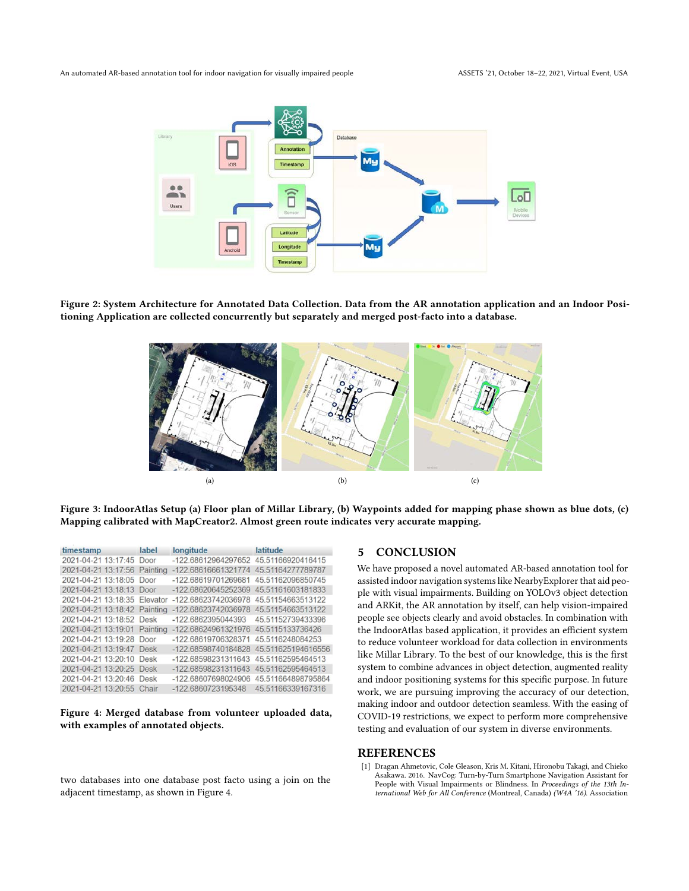<span id="page-3-1"></span>

<span id="page-3-2"></span>Figure 2: System Architecture for Annotated Data Collection. Data from the AR annotation application and an Indoor Positioning Application are collected concurrently but separately and merged post-facto into a database.



Figure 3: IndoorAtlas Setup (a) Floor plan of Millar Library, (b) Waypoints added for mapping phase shown as blue dots, (c) Mapping calibrated with MapCreator2. Almost green route indicates very accurate mapping.

<span id="page-3-3"></span>

| timestamp                    | label    | longitude                             | latitude           |
|------------------------------|----------|---------------------------------------|--------------------|
| 2021-04-21 13:17:45          | Door     | -122.68612964297652                   | 45.51166920416415  |
| 2021-04-21 13:17:56          | Painting | -122.68616661321774 45.51164277789787 |                    |
| 2021-04-21 13:18:05 Door     |          | -122.68619701269681                   | 45.51162096850745  |
| 2021-04-21 13:18:13 Door     |          | -122.68620645252369                   | 45.51161603181833  |
| 2021-04-21 13:18:35 Elevator |          | -122.68623742036978                   | 45.51154663513122  |
| 2021-04-21 13:18:42 Painting |          | -122.68623742036978                   | 45.51154663513122  |
| 2021-04-21 13:18:52 Desk     |          | -122.6862395044393                    | 45.51152739433396  |
| 2021-04-21 13:19:01 Painting |          | -122.68624961321976 45.5115133736426  |                    |
| 2021-04-21 13:19:28 Door     |          | -122.68619706328371                   | 45.5116248084253   |
| 2021-04-21 13:19:47 Desk     |          | -122.68598740184828                   | 45.511625194616556 |
| 2021-04-21 13:20:10          | Desk     | -122.68598231311643                   | 45.51162595464513  |
| 2021-04-21 13:20:25 Desk     |          | -122.68598231311643                   | 45.51162595464513  |
| 2021-04-21 13:20:46          | Desk     | -122.68607698024906                   | 45.511664898795864 |
| 2021-04-21 13:20:55 Chair    |          | -122.6860723195348                    | 45.51166339167316  |

Figure 4: Merged database from volunteer uploaded data, with examples of annotated objects.

two databases into one database post facto using a join on the adjacent timestamp, as shown in Figure [4.](#page-3-3)

#### 5 CONCLUSION

We have proposed a novel automated AR-based annotation tool for assisted indoor navigation systems like NearbyExplorer that aid people with visual impairments. Building on YOLOv3 object detection and ARKit, the AR annotation by itself, can help vision-impaired people see objects clearly and avoid obstacles. In combination with the IndoorAtlas based application, it provides an efficient system to reduce volunteer workload for data collection in environments like Millar Library. To the best of our knowledge, this is the first system to combine advances in object detection, augmented reality and indoor positioning systems for this specific purpose. In future work, we are pursuing improving the accuracy of our detection, making indoor and outdoor detection seamless. With the easing of COVID-19 restrictions, we expect to perform more comprehensive testing and evaluation of our system in diverse environments.

#### REFERENCES

<span id="page-3-0"></span>[1] Dragan Ahmetovic, Cole Gleason, Kris M. Kitani, Hironobu Takagi, and Chieko Asakawa. 2016. NavCog: Turn-by-Turn Smartphone Navigation Assistant for People with Visual Impairments or Blindness. In Proceedings of the 13th International Web for All Conference (Montreal, Canada) (W4A '16). Association